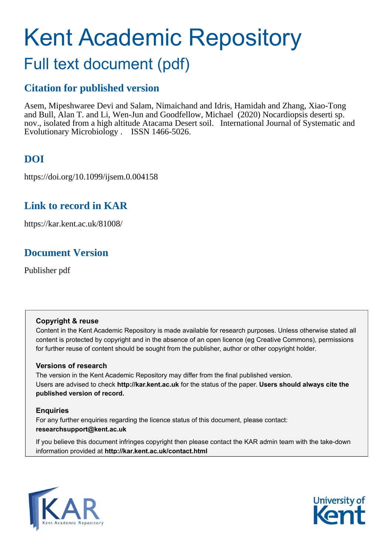# Kent Academic Repository

## Full text document (pdf)

## **Citation for published version**

Asem, Mipeshwaree Devi and Salam, Nimaichand and Idris, Hamidah and Zhang, Xiao-Tong and Bull, Alan T. and Li, Wen-Jun and Goodfellow, Michael (2020) Nocardiopsis deserti sp. nov., isolated from a high altitude Atacama Desert soil. International Journal of Systematic and Evolutionary Microbiology . ISSN 1466-5026.

## **DOI**

https://doi.org/10.1099/ijsem.0.004158

## **Link to record in KAR**

https://kar.kent.ac.uk/81008/

## **Document Version**

Publisher pdf

#### **Copyright & reuse**

Content in the Kent Academic Repository is made available for research purposes. Unless otherwise stated all content is protected by copyright and in the absence of an open licence (eg Creative Commons), permissions for further reuse of content should be sought from the publisher, author or other copyright holder.

#### **Versions of research**

The version in the Kent Academic Repository may differ from the final published version. Users are advised to check **http://kar.kent.ac.uk** for the status of the paper. **Users should always cite the published version of record.**

#### **Enquiries**

For any further enquiries regarding the licence status of this document, please contact: **researchsupport@kent.ac.uk**

If you believe this document infringes copyright then please contact the KAR admin team with the take-down information provided at **http://kar.kent.ac.uk/contact.html**



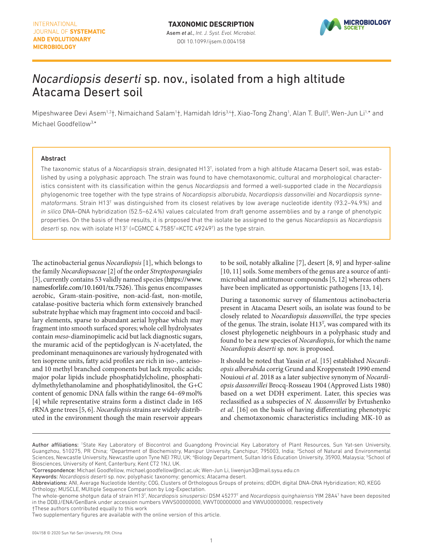

## *Nocardiopsis deserti* sp. nov., isolated from a high altitude Atacama Desert soil

Mipeshwaree Devi Asem<sup>1,2</sup>†, Nimaichand Salam<sup>1</sup>†, Hamidah Idris<sup>3,4</sup>†, Xiao-Tong Zhang<sup>1</sup>, Alan T. Bull<sup>5</sup>, Wen-Jun Li<sup>1,</sup>\* and Michael Goodfellow3, \*

#### Abstract

The taxonomic status of a *[Nocardiopsis](http://doi.org/10.1601/nm.7526)* strain, designated H13T , isolated from a high altitude Atacama Desert soil, was established by using a polyphasic approach. The strain was found to have chemotaxonomic, cultural and morphological characteristics consistent with its classification within the genus *[Nocardiopsis](http://doi.org/10.1601/nm.7526)* and formed a well-supported clade in the *[Nocardiopsis](http://doi.org/10.1601/nm.7526)* phylogenomic tree together with the type strains of *[Nocardiopsis alborubida](http://doi.org/10.1601/nm.7534)*, *[Nocardiopsis dassonvillei](http://doi.org/10.1601/nm.10904)* and *[Nocardiopsis](http://doi.org/10.1601/nm.7526) synne*matoformans. Strain H13<sup>T</sup> was distinguished from its closest relatives by low average nucleotide identity (93.2–94.9%) and *in silico* DNA–DNA hybridization (52.5–62.4%) values calculated from draft genome assemblies and by a range of phenotypic properties. On the basis of these results, it is proposed that the isolate be assigned to the genus *[Nocardiopsis](http://doi.org/10.1601/nm.7526)* as *[Nocardiopsis](http://doi.org/10.1601/nm.7526)*  deserti sp. nov. with isolate H13<sup>T</sup> (=CGMCC 4.7585<sup>T</sup>=KCTC 49249<sup>T</sup>) as the type strain.

The actinobacterial genus *[Nocardiopsis](http://doi.org/10.1601/nm.7526)* [1], which belongs to the family *[Nocardiopsaceae](http://doi.org/10.1601/nm.7525)* [2] of the order *[Streptosporangiales](http://doi.org/10.1601/nm.27035)* [3], currently contains 53 validly named species [\(https://www.](https://www.namesforlife.com/10.1601/tx.7526) [namesforlife.com/10.1601/tx.7526\)](https://www.namesforlife.com/10.1601/tx.7526). This genus encompasses aerobic, Gram-stain-positive, non-acid-fast, non-motile, catalase-positive bacteria which form extensively branched substrate hyphae which may fragment into coccoid and bacillary elements, sparse to abundant aerial hyphae which may fragment into smooth surfaced spores; whole cell hydrolysates contain *meso*-diaminopimelic acid but lack diagnostic sugars, the muramic acid of the peptidoglycan is *N*-acetylated, the predominant menaquinones are variously hydrogenated with ten isoprene units, fatty acid profiles are rich in iso-, anteisoand 10 methyl branched components but lack mycolic acids; major polar lipids include phosphatidylcholine, phosphatidylmethylethanolamine and phosphatidylinositol, the G+C content of genomic DNA falls within the range 64–69mol% [4] while representative strains form a distinct clade in 16S rRNA gene trees [5, 6]. *[Nocardiopsis](http://doi.org/10.1601/nm.7526)* strains are widely distributed in the environment though the main reservoir appears

to be soil, notably alkaline [7], desert [8, 9] and hyper-saline [10, 11] soils. Some members of the genus are a source of antimicrobial and antitumour compounds [5, 12] whereas others have been implicated as opportunistic pathogens [13, 14].

During a taxonomic survey of filamentous actinobacteria present in Atacama Desert soils, an isolate was found to be closely related to *[Nocardiopsis dassonvillei](http://doi.org/10.1601/nm.10904)*, the type species of the genus. The strain, isolate  $H13<sup>T</sup>$ , was compared with its closest phylogenetic neighbours in a polyphasic study and found to be a new species of *[Nocardiopsis](http://doi.org/10.1601/nm.7526)*, for which the name *[Nocardiopsis](http://doi.org/10.1601/nm.7526) deserti* sp. nov. is proposed.

It should be noted that Yassin *et al*. [15] established *[Nocardi](http://doi.org/10.1601/nm.7534)[opsis alborubida](http://doi.org/10.1601/nm.7534)* corrig Grund and Kroppenstedt 1990 emend Nouioui *et al*. 2018 as a later subjective synonym of *[Nocardi](http://doi.org/10.1601/nm.10904)[opsis dassonvillei](http://doi.org/10.1601/nm.10904)* Brocq-Rosseau 1904 (Approved Lists 1980) based on a wet DDH experiment. Later, this species was reclassified as a subspecies of *[N. dassonvillei](http://doi.org/10.1601/nm.10904)* by Evtushenko *et al*. [16] on the basis of having differentiating phenotypic and chemotaxonomic characteristics including MK-10 as

Author affiliations: <sup>1</sup>State Key Laboratory of Biocontrol and Guangdong Provincial Key Laboratory of Plant Resources, Sun Yat-sen University, Guangzhou, 510275, PR China; <sup>2</sup>Department of Biochemistry, Manipur University, Canchipur, 795003, India; <sup>3</sup>School of Natural and Environmental Sciences, Newcastle University, Newcastle upon Tyne NEI 7RU, UK; 'Biology Department, Sultan Idris Education University, 35900, Malaysia; <sup>5</sup>School of Biosciences, University of Kent, Canterbury, Kent CT2 1NJ, UK.

<sup>\*</sup>Correspondence: Michael Goodfellow, michael.goodfellow@ncl.ac.uk; Wen-Jun Li, liwenjun3@mail.sysu.edu.cn

Keywords: *Nocardiopsis deserti* sp. nov; polyphasic taxonomy; genomics; Atacama desert.

Abbreviations: ANI, Average Nucleotide Identity; COG, Clusters of Orthologous Groups of proteins; dDDH, digital DNA-DNA Hybridization; KO, KEGG Orthology; MUSCLE, MUltiple Sequence Comparison by Log-Expectation.

The whole-genome shotgun data of strain H13<sup>T</sup>, *[Nocardiopsis sinuspersici](http://doi.org/10.1601/nm.20145)* DSM 45277<sup>T</sup> and *[Nocardiopsis quinghaiensis](http://doi.org/10.1601/nm.13490)* YIM 28A4<sup>T</sup> have been deposited in the DDBJ/ENA/GenBank under accession numbers VWVS00000000, VWVT00000000 and VWVU00000000, respectively

<sup>†</sup>These authors contributed equally to this work

Two supplementary figures are available with the online version of this article.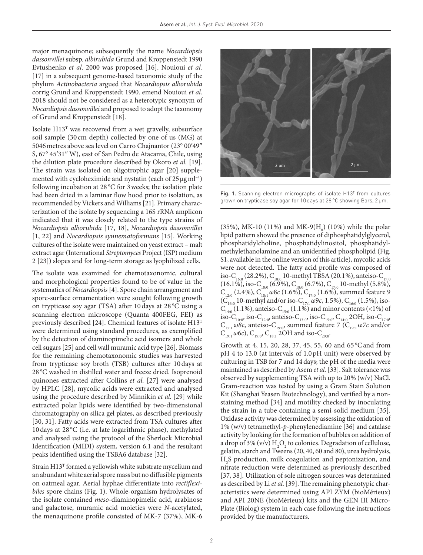major menaquinone; subsequently the name *[Nocardiopsis](http://doi.org/10.1601/nm.7528)  [dassonvillei](http://doi.org/10.1601/nm.7528)* subsp. *albirubida* Grund and Kroppenstedt 1990 Evtushenko *et al*. 2000 was proposed [16]. Nouioui *et al.* [17] in a subsequent genome-based taxonomic study of the phylum *[Actinobacteria](http://doi.org/10.1601/nm.5711)* argued that *[Nocardiopsis alborubida](http://doi.org/10.1601/nm.7534)* corrig Grund and Kroppenstedt 1990. emend Nouioui *et al*. 2018 should not be considered as a heterotypic synonym of *[Nocardiopsis dassonvillei](http://doi.org/10.1601/nm.10904)* and proposed to adopt the taxonomy of Grund and Kroppenstedt [18].

Isolate H13T was recovered from a wet gravelly, subsurface soil sample (30 cm depth) collected by one of us (MG) at 5046metres above sea level on Carro Chajnantor (23° 00′49″ S, 67° 45′31″ W), east of San Pedro de Atacama, Chile, using the dilution plate procedure described by Okoro *et al.* [19]. The strain was isolated on oligotrophic agar [20] supplemented with cycloheximide and nystatin (each of  $25 \mu g$  ml<sup>-1</sup>) following incubation at 28 °C for 3weeks; the isolation plate had been dried in a laminar flow hood prior to isolation, as recommended by Vickers and Williams [21]. Primary characterization of the isolate by sequencing a 16S rRNA amplicon indicated that it was closely related to the type strains of *[Nocardiopsis alborubida](http://doi.org/10.1601/nm.7534)* [17, 18], *[Nocardiopsis dassonvillei](http://doi.org/10.1601/nm.10904)* [1, 22] and *[Nocardiopsis](http://doi.org/10.1601/nm.7526) synnematoformans* [15]. Working cultures of the isolate were maintained on yeast extract – malt extract agar (International *[Streptomyces](http://doi.org/10.1601/nm.6817)* Project (ISP) medium 2 [23]) slopes and for long-term storage as lyophilized cells.

The isolate was examined for chemotaxonomic, cultural and morphological properties found to be of value in the systematics of *[Nocardiopsis](http://doi.org/10.1601/nm.7526)* [4]. Spore chain arrangement and spore-surface ornamentation were sought following growth on trypticase soy agar (TSA) after 10days at 28 °C using a scanning electron microscope (Quanta 400FEG, FEI) as previously described [24]. Chemical features of isolate H13T were determined using standard procedures, as exemplified by the detection of diaminopimelic acid isomers and whole cell sugars [25] and cell wall muramic acid type [26]. Biomass for the remaining chemotaxonomic studies was harvested from trypticase soy broth (TSB) cultures after 10days at 28 °C washed in distilled water and freeze dried. Isoprenoid quinones extracted after Collins *et al.* [27] were analysed by HPLC [28], mycolic acids were extracted and analysed using the procedure described by Minnikin *et al.* [29] while extracted polar lipids were identified by two-dimensional chromatography on silica gel plates, as described previously [30, 31]. Fatty acids were extracted from TSA cultures after 10days at 28 °C (i.e. at late logarithmic phase), methylated and analysed using the protocol of the Sherlock Microbial Identification (MIDI) system, version 6.1 and the resultant peaks identified using the TSBA6 database [32].

Strain H13<sup>T</sup> formed a yellowish white substrate mycelium and an abundant white aerial spore mass but no diffusible pigments on oatmeal agar. Aerial hyphae differentiate into *rectiflexibiles* spore chains (Fig. 1). Whole-organism hydrolysates of the isolate contained *meso*-diaminopimelic acid, arabinose and galactose, muramic acid moieties were *N-*acetylated, the menaquinone profile consisted of MK-7 (37%), MK-6



Fig. 1. Scanning electron micrographs of isolate  $H13<sup>T</sup>$  from cultures grown on trypticase soy agar for 10days at 28°C showing Bars, 2µm.

 $(35\%)$ , MK-10 (11%) and MK-9(H<sub>8</sub>) (10%) while the polar lipid pattern showed the presence of diphosphatidylglycerol, phosphatidylcholine, phosphatidylinositol, phosphatidylmethylethanolamine and an unidentified phospholipid (Fig. S1, available in the online version of this article), mycolic acids were not detected. The fatty acid profile was composed of iso-C $_{_{16:0}}$  (28.2%), C $_{_{18:0}}$  10-methyl TBSA (20.1%), anteiso-C $_{_{17:0}}$  $(16.1\%)$ , iso-C<sub>18:0</sub> (6.9%), C<sub>18:0</sub> (6.7%), C<sub>17:0</sub> 10-methyl (5.8%), C<sub>12:0</sub> (2.4%), C<sub>18:1</sub> ω8*c* (1.6%), C<sub>17:0</sub> (1.6%), summed feature 9 (C<sub>16:0</sub> 10-methyl and/or iso-C<sub>17:1</sub> ω9*c*, 1.5%), C<sub>16:0</sub> (1.5%), iso- $C_{14:0}$  (1.1%), anteiso- $C_{15:0}$  (1.1%) and minor contents (<1%) of iso-C<sub>10:0</sub>, iso-C<sub>12:0</sub>, anteiso-C<sub>13:0</sub>, iso-C<sub>15:0</sub>, C<sub>14:0</sub> 2OH, iso-C<sub>17:0</sub>,  $C_{17:1}$  ω*8c*, anteiso- $C_{19:0}$ , summed feature 7 ( $C_{19:1}$  ω7*c* and/or C<sub>19:1</sub> ω6*c*), C<sub>19:0</sub>, C<sub>18:1</sub> 2OH and iso-C<sub>20:0</sub>.

Growth at 4, 15, 20, 28, 37, 45, 55, 60 and 65 °Cand from pH 4 to 13.0 (at intervals of 1.0pH unit) were observed by culturing in TSB for 7 and 14days; the pH of the media were maintained as described by Asem *et al.* [33]. Salt tolerance was observed by supplementing TSA with up to 20% (w/v) NaCl. Gram-reaction was tested by using a Gram Stain Solution Kit (Shanghai Yeasen Biotechnology), and verified by a nonstaining method [34] and motility checked by inoculating the strain in a tube containing a semi-solid medium [35]. Oxidase activity was determined by assessing the oxidation of 1% (w/v) tetramethyl-*p*-phenylenediamine [36] and catalase activity by looking for the formation of bubbles on addition of a drop of 3% (v/v)  $H_2O_2$  to colonies. Degradation of cellulose, gelatin, starch and Tweens (20, 40, 60 and 80), urea hydrolysis, H2 S production, milk coagulation and peptonization, and nitrate reduction were determined as previously described [37, 38]. Utilization of sole nitrogen sources was determined as described by Li *et al.* [39]. The remaining phenotypic characteristics were determined using API ZYM (bioMérieux) and API 20NE (bioMérieux) kits and the GEN III Micro-Plate (Biolog) system in each case following the instructions provided by the manufacturers.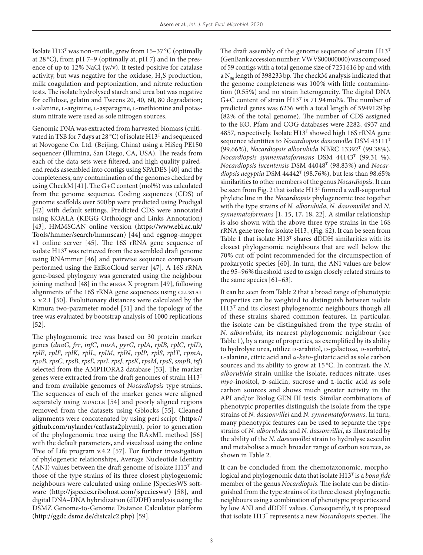Isolate  $H13^T$  was non-motile, grew from  $15-37$  °C (optimally at 28 °C), from pH 7–9 (optimally at, pH 7) and in the presence of up to 12% NaCl (w/v). It tested positive for catalase activity, but was negative for the oxidase,  $H_2S$  production, milk coagulation and peptonization, and nitrate reduction tests. The isolate hydrolysed starch and urea but was negative for cellulose, gelatin and Tweens 20, 40, 60, 80 degradation; L-alanine, L-arginine, L-asparagine, L-methionine and potassium nitrate were used as sole nitrogen sources.

Genomic DNA was extracted from harvested biomass (cultivated in TSB for 7days at 28 °C) of isolate H13T and sequenced at Novogene Co. Ltd. (Beijing, China) using a HiSeq PE150 sequencer (Illumina, San Diego, CA, USA). The reads from each of the data sets were filtered, and high quality pairedend reads assembled into contigs using SPADES [40] and the completeness, any contamination of the genomes checked by using CheckM [41]. The G+C content (mol%) was calculated from the genome sequence. Coding sequences (CDS) of genome scaffolds over 500bp were predicted using Prodigal [42] with default settings. Predicted CDS were annotated using KOALA (KEGG Orthology and Links Annotation) [43], HMMSCAN online version [\(https://www.ebi.ac.uk/](https://www.ebi.ac.uk/Tools/hmmer/search/hmmscan) [Tools/hmmer/search/hmmscan\)](https://www.ebi.ac.uk/Tools/hmmer/search/hmmscan) [44] and eggnog-mapper v1 online server [45]. The 16S rRNA gene sequence of isolate  $H13<sup>T</sup>$  was retrieved from the assembled draft genome using RNAmmer [46] and pairwise sequence comparison performed using the EzBioCloud server [47]. A 16S rRNA gene-based phylogeny was generated using the neighbour joining method [48] in the mega X program [49], following alignments of the 16S rRNA gene sequences using CLUSTAL x v.2.1 [50]. Evolutionary distances were calculated by the Kimura two-parameter model [51] and the topology of the tree was evaluated by bootstrap analysis of 1000 replications [52].

The phylogenomic tree was based on 30 protein marker genes (*dnaG*, *frr*, *infC*, *nusA*, *pyrG*, *rplA*, *rplB*, *rplC*, *rplD*, *rplE*, *rplF*, *rplK*, *rplL*, *rplM*, *rplN*, *rplP*, *rplS*, *rplT*, *rpmA*, *rpoB*, *rpsC*, *rpsB*, *rpsE*, *rpsI*, *rpsJ*, *rpsK*, *rpsM*, *rpsS*, *smpB*, *tsf*) selected from the AMPHORA2 database [53]. The marker genes were extracted from the draft genomes of strain H13T and from available genomes of *[Nocardiopsis](http://doi.org/10.1601/nm.7526)* type strains. The sequences of each of the marker genes were aligned separately using MUSCLE [54] and poorly aligned regions removed from the datasets using Gblocks [55]. Cleaned alignments were concatenated by using perl script ([https://](https://github.com/nylander/catfasta2phyml) [github.com/nylander/catfasta2phyml\)](https://github.com/nylander/catfasta2phyml), prior to generation of the phylogenomic tree using the RAxML method [56] with the default parameters, and visualized using the online Tree of Life program v.4.2 [57]. For further investigation of phylogenetic relationships, Average Nucleotide Identity (ANI) values between the draft genome of isolate  $H13<sup>T</sup>$  and those of the type strains of its three closest phylogenomic neighbours were calculated using online JSpeciesWS software [\(http://jspecies.ribohost.com/jspeciesws/\)](http://jspecies.ribohost.com/jspeciesws/) [58], and digital DNA–DNA hybridization (dDDH) analysis using the DSMZ Genome-to-Genome Distance Calculator platform ([http://ggdc.dsmz.de/distcalc2.php\)](http://ggdc.dsmz.de/distcalc2.php) [59].

The draft assembly of the genome sequence of strain  $H13<sup>T</sup>$ (GenBank accession number: VWVS00000000) was composed of 59 contigs with a total genome size of 7251616bp and with a  $N_{50}$  length of 398233 bp. The checkM analysis indicated that the genome completeness was 100% with little contamination (0.55%) and no strain heterogeneity. The digital DNA G+C content of strain H13T is 71.94mol%. The number of predicted genes was 6236 with a total length of 5949129bp (82% of the total genome). The number of CDS assigned to the KO, Pfam and COG databases were 2282, 4937 and 4857, respectively. Isolate H13T showed high 16S rRNA gene sequence identities to *[Nocardiopsis dassonvillei](http://doi.org/10.1601/nm.10904)* DSM 43111T (99.66%), *[Nocardiopsis alborubida](http://doi.org/10.1601/nm.7534)* NBRC 13392T (99.38%), *[Nocardiopsis synnemataformans](http://doi.org/10.1601/nm.7550)* DSM 44143T (99.31 %), *[Nocardiopsis lucentensis](http://doi.org/10.1601/nm.7546)* DSM 44048T (98.83%) and *[Nocar](http://doi.org/10.1601/nm.7530)*[diopsis aegyptia](http://doi.org/10.1601/nm.7530) DSM 44442<sup>T</sup> (98.76%), but less than 98.65% similarities to other members of the genus *[Nocardiopsis](http://doi.org/10.1601/nm.7526)*. It can be seen from Fig. 2 that isolate H13<sup>T</sup> formed a well-supported phyletic line in the *[Nocardiopsis](http://doi.org/10.1601/nm.7526)* phylogenomic tree together with the type strains of *[N. alborubida](http://doi.org/10.1601/nm.7534)*, *[N. dassonvillei](http://doi.org/10.1601/nm.10904)* and *N. synnematoformans* [1, 15, 17, 18, 22]. A similar relationship is also shown with the above three type strains in the 16S rRNA gene tree for isolate  $H13_r$  (Fig. S2). It can be seen from Table 1 that isolate  $H13<sup>T</sup>$  shares dDDH similarities with its closest phylogenomic neighbours that are well below the 70% cut-off point recommended for the circumspection of prokaryotic species [60]. In turn, the ANI values are below the 95-96% threshold used to assign closely related strains to the same species [61–63].

It can be seen from Table 2 that a broad range of phenotypic properties can be weighted to distinguish between isolate  $H13<sup>T</sup>$  and its closest phylogenomic neighbours though all of these strains shared common features. In particular, the isolate can be distinguished from the type strain of *[N. alborubida](http://doi.org/10.1601/nm.7534)*, its nearest phylogenomic neighbour (see Table 1), by a range of properties, as exemplified by its ability to hydrolyse urea, utilize D-arabitol, D-galactose, D-sorbitol, l-alanine, citric acid and *α*-*keto*-glutaric acid as sole carbon sources and its ability to grow at 15 °C. In contrast, the *[N.](http://doi.org/10.1601/nm.7534) [alborubida](http://doi.org/10.1601/nm.7534)* strain unlike the isolate, reduces nitrate, uses *myo*-inositol, p-salicin, sucrose and L-lactic acid as sole carbon sources and shows much greater activity in the API and/or Biolog GEN III tests. Similar combinations of phenotypic properties distinguish the isolate from the type strains of *[N. dassonvillei](http://doi.org/10.1601/nm.10904)* and *N. synnematoformans*. In turn, many phenotypic features can be used to separate the type strains of *[N. alborubida](http://doi.org/10.1601/nm.7534)* and *[N. dassonvillei](http://doi.org/10.1601/nm.10904)*, as illustrated by the ability of the *[N. dassonvillei](http://doi.org/10.1601/nm.10904)* strain to hydrolyse aesculin and metabolise a much broader range of carbon sources, as shown in Table 2.

It can be concluded from the chemotaxonomic, morphological and phylogenomic data that isolate H13T is a *bona fide* member of the genus *[Nocardiopsis](http://doi.org/10.1601/nm.7526)*. The isolate can be distinguished from the type strains of its three closest phylogenetic neighbours using a combination of phenotypic properties and by low ANI and dDDH values. Consequently, it is proposed that isolate H13T represents a new *[Nocardiopsis](http://doi.org/10.1601/nm.7526)* species. The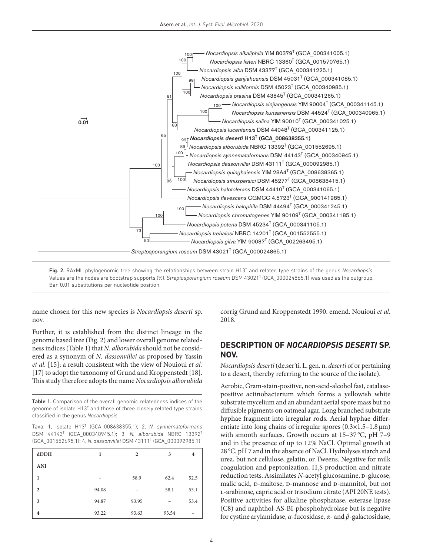

Fig. 2. RAxML phylogenomic tree showing the relationships between strain H13<sup>T</sup> and related type strains of the genus *Nocardiopsis*. Values are the nodes are bootstrap supports (%). *[Streptosporangium roseum](http://doi.org/10.1601/nm.7429)* DSM 43021T (GCA\_000024865.1) was used as the outgroup. Bar, 0.01 substitutions per nucleotide position.

name chosen for this new species is *[Nocardiopsis](http://doi.org/10.1601/nm.7526) deserti* sp. nov.

Further, it is established from the distinct lineage in the genome based tree (Fig. 2) and lower overall genome relatedness indices (Table 1) that *[N. alborubida](http://doi.org/10.1601/nm.7534)* should not be considered as a synonym of *[N. dassonvillei](http://doi.org/10.1601/nm.10904)* as proposed by Yassin *et al.* [15]; a result consistent with the view of Nouioui *et al.* [17] to adopt the taxonomy of Grund and Kroppenstedt [18]. This study therefore adopts the name *[Nocardiopsis alborubida](http://doi.org/10.1601/nm.7534)*

Table 1. Comparison of the overall genomic relatedness indices of the genome of isolate H13<sup>T</sup> and those of three closely related type strains classified in the genus *[Nocardiopsis](http://doi.org/10.1601/nm.7526)*

Taxa: 1, Isolate H13T (GCA\_008638355.1); 2, *N. synnematoformans* DSM 44143T (GCA\_000340945.1); 3, *[N. alborubida](http://doi.org/10.1601/nm.7534)* NBRC 13392T (GCA\_001552695.1); 4, *[N. dassonvillei](http://doi.org/10.1601/nm.10904)* DSM 43111T (GCA\_000092985.1).

| dDDH                    | ı     | $\overline{2}$ | 3     | 4    |
|-------------------------|-------|----------------|-------|------|
| <b>ANI</b>              |       |                |       |      |
| 1                       |       | 58.9           | 62.4  | 52.5 |
| $\overline{2}$          | 94.08 | -              | 58.1  | 53.1 |
| 3                       | 94.87 | 93.95          |       | 53.4 |
| $\overline{\mathbf{4}}$ | 93.22 | 93.63          | 93.54 |      |

corrig Grund and Kroppenstedt 1990. emend. Nouioui *et al*. 2018.

#### **Description of** *[Nocardiopsis](http://doi.org/10.1601/nm.7526) deserti* **sp. nov.**

*[Nocardiopsis](http://doi.org/10.1601/nm.7526) deserti* (de.ser'ti. L. gen. n. *deserti* of or pertaining to a desert, thereby referring to the source of the isolate).

Aerobic, Gram-stain-positive, non-acid-alcohol fast, catalasepositive actinobacterium which forms a yellowish white substrate mycelium and an abundant aerial spore mass but no diffusible pigments on oatmeal agar. Long branched substrate hyphae fragment into irregular rods. Aerial hyphae differentiate into long chains of irregular spores  $(0.3 \times 1.5 - 1.8 \,\mu m)$ with smooth surfaces. Growth occurs at 15-37 °C, pH 7-9 and in the presence of up to 12% NaCl. Optimal growth at 28 °C, pH 7 and in the absence of NaCl. Hydrolyses starch and urea, but not cellulose, gelatin, or Tweens. Negative for milk coagulation and peptonization, H2 S production and nitrate reduction tests. Assimilates *N*-acetyl glucosamine, *p*-glucose, malic acid, p-maltose, p-mannose and p-mannitol, but not l-arabinose, capric acid or trisodium citrate (API 20NE tests). Positive activities for alkaline phosphatase, esterase lipase (C8) and naphthol-AS-BI-phosphohydrolase but is negative for cystine arylamidase, *α*-fucosidase, *α*- and *β*-galactosidase,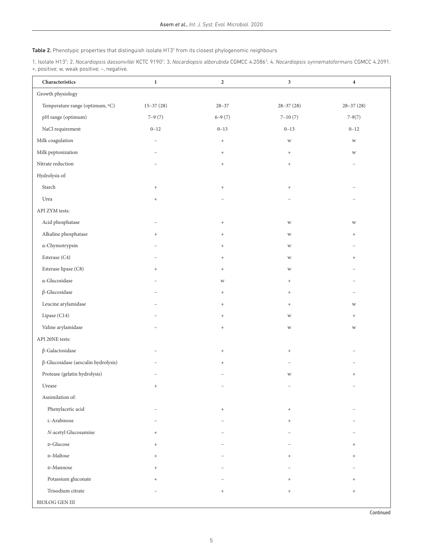#### **Table 2.** Phenotypic properties that distinguish isolate H13<sup>T</sup> from its closest phylogenomic neighbours

1, Isolate H13T ; 2, *[Nocardiopsis dassonvillei](http://doi.org/10.1601/nm.10904)* KCTC 9190T ; 3, *[Nocardiopsis alborubida](http://doi.org/10.1601/nm.7534)* CGMCC 4.2086T ; 4, *[Nocardiopsis](http://doi.org/10.1601/nm.7526) synnematoformans* CGMCC 4.2091. +, positive; w, weak positive; –, negative.

| ${\bf Characteristics}$                    | $\mathbf{1}$  | $\overline{2}$                   | $\sqrt{3}$                       | $\bf{4}$      |
|--------------------------------------------|---------------|----------------------------------|----------------------------------|---------------|
| Growth physiology                          |               |                                  |                                  |               |
| Temperature range (optimum, °C)            | $15 - 37(28)$ | $28 - 37$                        | $28 - 37(28)$                    | $28 - 37(28)$ |
| pH range (optimum)                         | $7 - 9(7)$    | $6-9(7)$                         | $7 - 10(7)$                      | $7-9(7)$      |
| NaCl requirement                           | $0 - 12$      | $0 - 13$                         | $0 - 13$                         | $0 - 12$      |
| Milk coagulation                           | L.            | $\,$ + $\,$                      | $\ensuremath{\text{W}}$          | W             |
| Milk peptonization                         |               | $\begin{array}{c} + \end{array}$ | $^+$                             | W             |
| Nitrate reduction                          |               | $^+$                             | $^+$                             |               |
| Hydrolysis of:                             |               |                                  |                                  |               |
| Starch                                     | $\! + \!$     | $^+$                             | $^+$                             |               |
| Urea                                       | $^{+}$        |                                  |                                  |               |
| API ZYM tests:                             |               |                                  |                                  |               |
| Acid phosphatase                           |               | $^+$                             | $\ensuremath{\text{W}}$          | W             |
| Alkaline phosphatase                       | $^{+}$        | $\begin{array}{c} + \end{array}$ | W                                | $^{+}$        |
| α-Chymotrypsin                             |               | $\begin{array}{c} + \end{array}$ | $\ensuremath{\text{W}}\xspace$   |               |
| Esterase (C4)                              |               | $\begin{array}{c} + \end{array}$ | W                                | $^{+}$        |
| Esterase lipase (C8)                       | $^{+}$        | $\begin{array}{c} + \end{array}$ | W                                |               |
| $\alpha$ -Glucosidase                      |               | $\ensuremath{\text{W}}$          | $\begin{array}{c} + \end{array}$ |               |
| $\beta$ -Glucosidase                       |               | $\begin{array}{c} + \end{array}$ | $\begin{array}{c} + \end{array}$ |               |
| Leucine arylamidase                        |               | $\begin{array}{c} + \end{array}$ | $\begin{array}{c} + \end{array}$ | W             |
| Lipase (C14)                               |               | $\begin{array}{c} + \end{array}$ | W                                | $^{+}$        |
| Valine arylamidase                         |               | $^+$                             | W                                | W             |
| API 20NE tests:                            |               |                                  |                                  |               |
| $\beta$ -Galactosidase                     |               | $\begin{array}{c} + \end{array}$ | $\begin{array}{c} + \end{array}$ |               |
| $\beta$ -Glucosidase (aesculin hydrolysis) |               | $^{+}$                           |                                  |               |
| Protease (gelatin hydrolysis)              |               |                                  | W                                | $^{+}$        |
| Urease                                     | $^{+}$        |                                  |                                  |               |
| Assimilation of:                           |               |                                  |                                  |               |
| Phenylacetic acid                          |               | $\begin{array}{c} + \end{array}$ | $\begin{array}{c} + \end{array}$ |               |
| L-Arabinose                                |               |                                  | $^{+}$                           |               |
| N-acetyl Glucosamine                       | $^{+}$        |                                  |                                  |               |
| D-Glucose                                  | $^{+}$        |                                  |                                  | $^{+}$        |
| <b>D-Maltose</b>                           | $^{+}$        |                                  | $^{+}$                           | $^{+}$        |
| D-Mannose                                  | $^{+}$        |                                  |                                  |               |
| Potassium gluconate                        | $^{+}$        |                                  | $^{+}$                           | $^{+}$        |
| Trisodium citrate                          |               | $\begin{array}{c} + \end{array}$ | $\begin{array}{c} + \end{array}$ | $^{+}$        |
| $\operatorname{BIOLOG}$ GEN III            |               |                                  |                                  |               |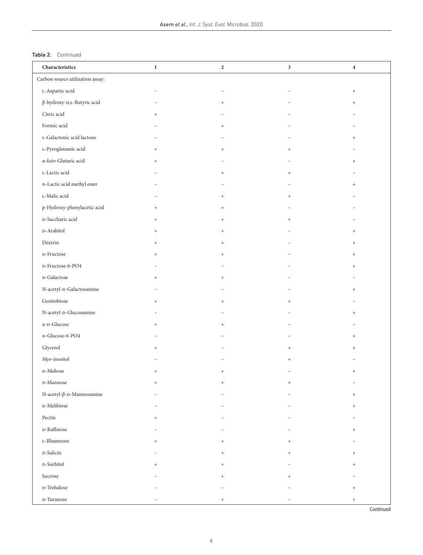#### Table 2. Continued

| ${\bf Characteristics}$                              | $\mathbf{1}$             | $\mathbf{2}$                     | $\mathbf{3}$                     | $\overline{\mathbf{4}}$          |
|------------------------------------------------------|--------------------------|----------------------------------|----------------------------------|----------------------------------|
| Carbon source utilization assay:                     |                          |                                  |                                  |                                  |
| $\mbox{\textsc{t}-}$ Aspartic acid                   | $\overline{\phantom{0}}$ | $\overline{\phantom{0}}$         |                                  | $\begin{array}{c} + \end{array}$ |
| $\upbeta\text{-hydroxy-D,L-Butyric acid}$            |                          | $\begin{array}{c} + \end{array}$ |                                  | $\begin{array}{c} + \end{array}$ |
| Citric acid                                          | $^{+}$                   |                                  |                                  |                                  |
| Formic acid                                          |                          | $^{+}$                           |                                  |                                  |
| L-Galactonic acid lactone                            |                          |                                  |                                  | $^{+}$                           |
| L-Pyroglutamic acid                                  | $^{+}$                   | $\begin{array}{c} + \end{array}$ | $^{+}$                           |                                  |
| $\alpha$ -keto-Glutaric acid                         | $^{+}$                   |                                  |                                  | $^{+}$                           |
| $_{\mbox{\scriptsize L-Lactic acid}}$                |                          | $\begin{array}{c} + \end{array}$ | $^{+}$                           |                                  |
| <b>D-Lactic acid methyl ester</b>                    |                          |                                  |                                  | $^{+}$                           |
| $\textsc{t-Malic}$ acid                              |                          | $\begin{array}{c} + \end{array}$ | $\begin{array}{c} + \end{array}$ |                                  |
| p-Hydroxy-phenylacetic acid                          | $^{+}$                   | $\begin{array}{c} + \end{array}$ |                                  |                                  |
| <b>D-Saccharic acid</b>                              | $^{+}$                   | $\begin{array}{c} + \end{array}$ | $\begin{array}{c} + \end{array}$ |                                  |
| $\textsc{d}$ -Arabitol                               | $^{+}$                   | $\begin{array}{c} + \end{array}$ |                                  | $^{+}$                           |
| Dextrin                                              | $^{+}$                   | $\begin{array}{c} + \end{array}$ |                                  | $^{+}$                           |
| $\textsc{d}$ -Fructose                               | $^{+}$                   | $\begin{array}{c} + \end{array}$ |                                  | $^{+}$                           |
| $\textsc{d}$ -Fructose-6-PO4                         |                          |                                  |                                  | $\begin{array}{c} + \end{array}$ |
| $\operatorname{D-Galactose}$                         | $^{+}$                   | $^{+}$                           |                                  |                                  |
| $\rm N\mbox{-}acetyl\mbox{-}D\mbox{-}Galactosamine$  |                          |                                  |                                  | $+$                              |
| $\mbox{Gentiobiose}$                                 | $^{+}$                   | $\begin{array}{c} + \end{array}$ | $^{+}$                           |                                  |
| N-acetyl-D-Glucosamine                               |                          |                                  |                                  | $\begin{array}{c} + \end{array}$ |
| $\alpha$ -D-Glucose                                  | $^{+}$                   | $\begin{array}{c} + \end{array}$ |                                  |                                  |
| D-Glucose-6-PO4                                      |                          |                                  |                                  | $\begin{array}{c} + \end{array}$ |
| Glycerol                                             | $^{+}$                   |                                  | $^{+}$                           | $\begin{array}{c} + \end{array}$ |
| $\mathit{Myo}\xspace$ -inositol                      |                          |                                  | $\begin{array}{c} + \end{array}$ |                                  |
| $_{\rm D}\mbox{-Maltose}$                            | $^{+}$                   | $\ddot{}$                        |                                  | $^{+}$                           |
| $_{\rm D}\mbox{-Mannose}$                            | $\qquad \qquad +$        | $^+$                             | $\begin{array}{c} + \end{array}$ |                                  |
| $\text{N-acetyl-}\beta\text{-}\text{n-}$ Mannosamine |                          |                                  |                                  | $^{+}$                           |
| D-Melibiose                                          |                          |                                  |                                  | $^{+}$                           |
| Pectin                                               | $^{+}$                   |                                  |                                  |                                  |
| $\textsc{d}$ -Raffinose                              |                          |                                  |                                  | $^{+}$                           |
| $_{\mbox{\scriptsize L-Rhamnose}}$                   | $^{+}$                   | $^{+}$                           | $^{+}$                           |                                  |
| <b>D-Salicin</b>                                     |                          | $^{+}$                           | $^{+}$                           | $\ddot{}$                        |
| $\scriptstyle\rm D\text{-}Sorbitol$                  | $^{+}$                   | $^{+}$                           |                                  | $^{+}$                           |
| Sucrose                                              |                          | $^{+}$                           | $^{+}$                           |                                  |
| $\textsc{d}$ -Trehalose                              |                          |                                  |                                  | $\ddot{}$                        |
| $\operatorname{D-Turanose}$                          |                          | $\begin{array}{c} + \end{array}$ |                                  | $^{+}$                           |

Continued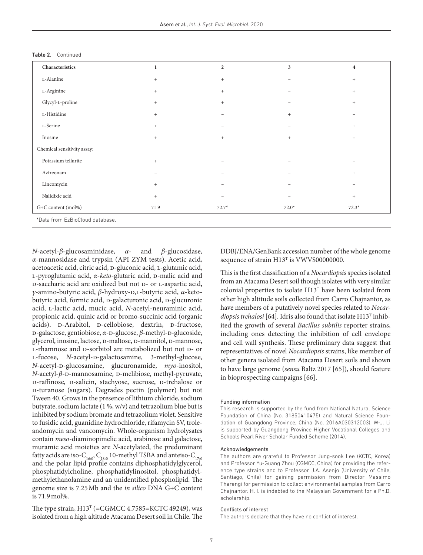| L-Alanine<br>L-Arginine<br>Glycyl-L-proline<br>L-Histidine | $^{+}$<br>$^{+}$<br>$^{+}$<br>$+$ | $\,$ + $\,$<br>$\begin{array}{c} + \end{array}$<br>$\begin{array}{c} + \end{array}$ | $\overline{\phantom{0}}$<br>$\qquad \qquad -$ | $+$<br>$+$<br>$\begin{array}{c} + \end{array}$ |
|------------------------------------------------------------|-----------------------------------|-------------------------------------------------------------------------------------|-----------------------------------------------|------------------------------------------------|
|                                                            |                                   |                                                                                     |                                               |                                                |
|                                                            |                                   |                                                                                     |                                               |                                                |
|                                                            |                                   |                                                                                     |                                               |                                                |
|                                                            |                                   | $\overline{\phantom{0}}$                                                            | $+$                                           |                                                |
| L-Serine                                                   | $+$                               | $\qquad \qquad -$                                                                   | -                                             | $+$                                            |
| Inosine                                                    | $^{+}$                            | $\begin{array}{c} + \end{array}$                                                    | $+$                                           |                                                |
| Chemical sensitivity assay:                                |                                   |                                                                                     |                                               |                                                |
| Potassium tellurite                                        | $+$                               | -                                                                                   |                                               |                                                |
| Aztreonam                                                  |                                   | $\overline{\phantom{0}}$                                                            | $\overline{\phantom{0}}$                      | $\begin{array}{c} + \end{array}$               |
| Lincomycin                                                 | $+$                               | $\overline{\phantom{0}}$                                                            | $\overline{\phantom{0}}$                      |                                                |
| Nalidixic acid                                             | $+$                               | -                                                                                   | $\equiv$                                      | $+$                                            |
| G+C content (mol%)                                         | 71.9                              | $72.7*$                                                                             | $72.0*$                                       | $72.3*$                                        |

*N*-acetyl-*β*-glucosaminidase, *α*- and *β*-glucosidase, *α*-mannosidase and trypsin (API ZYM tests). Acetic acid, acetoacetic acid, citric acid, p-gluconic acid, L-glutamic acid, L-pyroglutamic acid, *α-keto-*glutaric acid, **D-malic acid and** D-saccharic acid are oxidized but not D- or L-aspartic acid, *γ-*amino-butyric acid, *β*-hydroxy-d,l-butyric acid, *α*-ketobutyric acid, formic acid, p-galacturonic acid, p-glucuronic acid, l-lactic acid, mucic acid, *N-*acetyl-neuraminic acid, propionic acid, quinic acid or bromo-succinic acid (organic acids). D-Arabitol, D-cellobiose, dextrin, D-fructose, b-galactose, gentiobiose, *α*-p-glucose, *β*-methyl-p-glucoside, glycerol, inosine, lactose, D-maltose, D-mannitol, D-mannose, L-rhamnose and D-sorbitol are metabolized but not D- or L-fucose, *N*-acetyl-p-galactosamine, 3-methyl-glucose, *N-*acetyl-d-glucosamine, glucuronamide, *myo*-inositol, *N*-acetyl-β-D-mannosamine, D-melibiose, methyl-pyruvate, D-raffinose, D-salicin, stachyose, sucrose, D-trehalose or d-turanose (sugars). Degrades pectin (polymer) but not Tween 40. Grows in the presence of lithium chloride, sodium butyrate, sodium lactate (1 %, w/v) and tetrazolium blue but is inhibited by sodium bromate and tetrazolium violet. Sensitive to fusidic acid, guanidine hydrochloride, rifamycin SV, troleandomycin and vancomycin. Whole-organism hydrolysates contain *meso*-diaminopimelic acid, arabinose and galactose, muramic acid moieties are *N-*acetylated, the predominant fatty acids are iso-C<sub>16:0</sub>, C<sub>18:0</sub> 10-methyl TSBA and anteiso-C<sub>17:0</sub> and the polar lipid profile contains diphosphatidylglycerol, phosphatidylcholine, phosphatidylinositol, phosphatidylmethylethanolamine and an unidentified phospholipid. The genome size is 7.25Mb and the *in silico* DNA G+C content is 71.9mol%.

The type strain,  $H13<sup>T</sup>$  (=CGMCC 4.7585=KCTC 49249), was isolated from a high altitude Atacama Desert soil in Chile. The

DDBJ/ENA/GenBank accession number of the whole genome sequence of strain H13<sup>T</sup> is VWVS00000000.

This is the first classification of a *[Nocardiopsis](http://doi.org/10.1601/nm.7526)* species isolated from an Atacama Desert soil though isolates with very similar colonial properties to isolate H13T have been isolated from other high altitude soils collected from Carro Chajnantor, as have members of a putatively novel species related to *[Nocar](http://doi.org/10.1601/nm.7552)[diopsis trehalosi](http://doi.org/10.1601/nm.7552)* [64]. Idris also found that isolate H13<sup>T</sup> inhibited the growth of several *[Bacillus subtilis](http://doi.org/10.1601/nm.10618)* reporter strains, including ones detecting the inhibition of cell envelope and cell wall synthesis. These preliminary data suggest that representatives of novel *[Nocardiopsis](http://doi.org/10.1601/nm.7526)* strains, like member of other genera isolated from Atacama Desert soils and shown to have large genome (*sensu* Baltz 2017 [65]), should feature in bioprospecting campaigns [66].

#### Funding information

This research is supported by the fund from National Natural Science Foundation of China (No. 31850410475) and Natural Science Foundation of Guangdong Province, China (No. 2016A030312003). W-J. Li is supported by Guangdong Province Higher Vocational Colleges and Schools Pearl River Scholar Funded Scheme (2014).

#### Acknowledgements

The authors are grateful to Professor Jung-sook Lee (KCTC, Korea) and Professor Yu-Guang Zhou (CGMCC, China) for providing the reference type strains and to Professor J.A. Asenjo (University of Chile, Santiago, Chile) for gaining permission from Director Massimo Tharengi for permission to collect environmental samples from Carro Chajnantor. H. I. is indebted to the Malaysian Government for a Ph.D. scholarship.

#### Conflicts of interest

The authors declare that they have no conflict of interest.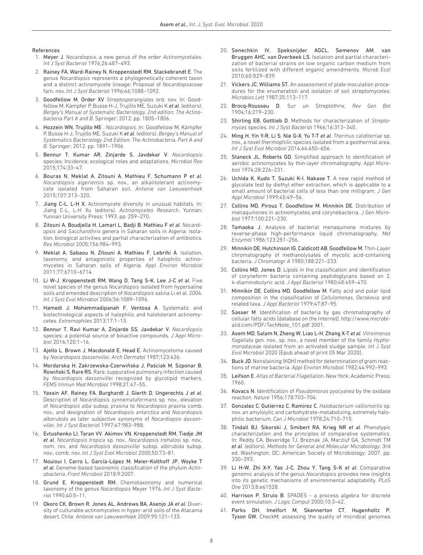#### References

- 1. Meyer J. *Nocardiopsis*, a new genus of the order *Actinomycetales*. *Int J Syst Bacteriol* 1976;26:487–493.
- 2. Rainey FA, Ward-Rainey N, Kroppenstedt RM, Stackebrandt E. The genus *Nocardiopsis* represents a phylogenetically coherent taxon and a distinct actinomycete lineage: Proposal of *Nocardiopsaceae* fam. nov. *Int J Syst Bacteriol* 1996;46:1088–1092.
- 3. Goodfellow M, Order XV *Streptosporangiales* ord. nov. In: Goodfellow M, Kämpfer P, Busse H-J, Trujillo ME, Suzuki K *et al*. (editors). *Bergey's Manual of Systematic Bacteriology, 2nd edition: The Actinobacteria Part A and B*. Springer; 2012. pp. 1805–1806.
- 4. Hozzein WN, Trujillo ME . *Nocardiopsis*. In: Goodfellow M, Kämpfer P, Busse H-J, Trujillo ME, Suzuki K *et al*. (editors). *Bergey's Manual of Systematics Bacteriology 2nd Edition: The Actinobacteria, Part A and B*. Springer; 2012. pp. 1891–1906.
- 5. Bennur T, Kumar AR, Zinjarde S, Javdekar V. *Nocardiopsis* species: Incidence, ecological roles and adaptations. *Microbiol Res* 2015;174:33–47.
- 6. Bouras N, Meklat A, Zitouni A, Mathieu F, Schumann P *et al*. *Nocardiopsis algeriensis* sp. nov., an alkalitolerant actinomycete isolated from Saharan soil. *Antonie van Leeuwenhoek* 2015;107:313–320.
- 7. Jiang C-L, L-H X. Actinomycete diversity in unusual habitats. In: Jiang C-L, L-H Xu (editors). *Actinomycetes Research*. Yunnan: Yunnan University Press; 1993. pp. 259–270.
- 8. Zitouni A, Boudjella H, Lamari L, Badji B, Mathieu F *et al*. *Nocardiopsis* and *Saccharothrix* genera in Saharan soils in Algeria: isolation, biological activities and partial characterization of antibiotics. *Res Microbiol* 2005;156:984–993.
- 9. Meklat A, Sabaou N, Zitouni A, Mathieu F, Lebrihi A. Isolation, taxonomy, and antagonistic properties of halophilic actinomycetes in Saharan soils of Algeria. *Appl Environ Microbiol* 2011;77:6710–6714.
- 10. Li W-J, Kroppenstedt RM, Wang D, Tang S-K, Lee J-C *et al*. Five novel species of the genus *Nocardiopsis* isolated from hypersaline soils and emended description of *Nocardiopsis* salina Li et al. 2004. *Int J Syst Evol Microbiol* 2006;56:1089–1096.
- 11. Hamedi J, Mohammadipanah F, Ventosa A. Systematic and biotechnological aspects of halophilic and halotolerant actinomycetes. *Extremophiles* 2013;17:1–13.
- 12. Bennur T, Ravi Kumar A, Zinjarde SS, Javdekar V. *Nocardiopsis* species: a potential source of bioactive compounds. *J Appl Microbiol* 2016;120:1–16.
- 13. Ajello L, Brown J, Macdonald E, Head E. Actinomycetoma caused by *Nocardiopsis dassonvillei*. *Arch Dermatol* 1987;123:426.
- 14. Mordarska H, Zakrzewska-Czerwiñska J, Paściak M, Szponar B, Rowiñski S, Rare RS. Rare, suppurative pulmonary infection caused by *Nocardiopsis dassonvillei* recognized by glycolipid markers. *FEMS Immun Med Microbiol* 1998;21:47–55.
- 15. Yassin AF, Rainey FA, Burghardt J, Gierth D, Ungerechts J *et al*. Description of *Nocardiopsis synnemataformans* sp. nov., elevation of *Nocardiopsis alba* subsp. *prasina* to *Nocardiopsis prasina* comb. nov., and designation of *Nocardiopsis antarctica* and *Nocardiopsis alborubida* as later subjective synonyms of *Nocardiopsis dassonvillei*. *Int J Syst Bacteriol* 1997;47:983–988.
- 16. Evtushenko LI, Taran VV, Akimov VN, Kroppenstedt RM, Tiedje JM *et al*. *Nocardiopsis tropica* sp. nov., *Nocardiopsis trehalosi* sp. nov., nom. rev. and *Nocardiopsis dassonvillei* subsp. *albirubida* subsp. nov., comb. nov. *Int J Syst Evol Microbiol* 2000;50:73–81.
- 17. Nouioui I, Carro L, García-López M, Meier-Kolthoff JP, Woyke T *et al*. Genome-based taxonomic classification of the phylum *Actinobacteria*. *Front Microbiol* 2018;9:2007.
- 18. Grund E, Kroppenstedt RM. Chemotaxonomy and numerical taxonomy of the genus *Nocardiopsis* Meyer 1976. *Int J Syst Bacteriol* 1990;40:5–11.
- 19. Okoro CK, Brown R, Jones AL, Andrews BA, Asenjo JA *et al*. Diversity of culturable actinomycetes in hyper-arid soils of the Atacama desert, Chile. *Antonie van Leeuwenhoek* 2009;95:121–133.
- 20. Senechkin IV, Speksnijder AGCL, Semenov AM, van Bruggen AHC, van Overbeek LS. Isolation and partial characterization of bacterial strains on low organic carbon medium from soils fertilized with different organic amendments. *Microb Ecol* 2010;60:829–839.
- 21. Vickers JC, Williams ST. An assessment of plate inoculation procedures for the enumeration and isolation of soil streptomycetes. *Microbios Lett* 1987;35:113–117.
- 22. Brocq-Rousseu D. Sur un Streptothrix. *Rev Gen Bot* 1904;16:219–230.
- 23. Shirling EB, Gottlieb D. Methods for characterization of *Streptomyces* species. *Int J Syst Bacteriol* 1966;16:313–340.
- 24. Ming H, Yin Y-R, Li S, Nie G-X, Yu T-T *et al*. *Thermus caliditerrae* sp. nov., a novel thermophilic species isolated from a geothermal area. *Int J Syst Evol Microbiol* 2014;64:650–656.
- 25. Staneck JL, Roberts GD. Simplified approach to identification of aerobic actinomycetes by thin-layer chromatography. *Appl Microbiol* 1974;28:226–231.
- 26. Uchida K, Kudo T, Suzuki K-I, Nakase T. A new rapid method of glycolate test by diethyl ether extraction, which is applicable to a small amount of bacterial cells of less than one milligram. *J Gen Appl Microbiol* 1999;45:49–56.
- 27. Collins MD, Pirouz T, Goodfellow M, Minnikin DE. Distribution of menaquinones in actinomycetes and corynebacteria. *J Gen Microbiol* 1977;100:221–230.
- 28. Tamaoka J. Analysis of bacterial menaquinone mixtures by reverse-phase high-performance liquid chromatography. *Met Enzymol* 1986;123:251–256.
- 29. Minnikin DE, Hutchinson IG, Caldicott AB, Goodfellow M. Thin-Layer chromatography of methanolysates of mycolic acid-containing bacteria. *J Chromatogr A* 1980;188:221–233.
- 30. Collins MD, Jones D. Lipids in the classification and identification of coryneform bacteria containing peptidoglycans based on 2, 4-diaminobutyric acid. *J Appl Bacteriol* 1980;48:459–470.
- 31. Minnikin DE, Collins MD, Goodfellow M. Fatty acid and polar lipid composition in the classification of *Cellulomonas*, *Oerskovia* and related taxa. *J Appl Bacteriol* 1979;47:87–95.
- 32. Sasser M. Identification of bacteria by gas chromatography of cellular fatty acids [database on the Internet]. [http://www.microbi](http://www.microbialid.com/PDF/TechNote_101.pdf)[alid.com/PDF/TechNote\\_101.pdf](http://www.microbialid.com/PDF/TechNote_101.pdf) 2001.
- 33. Asem MD, Salam N, Zheng W, Liao L-H, Zhang X-T *et al*. *Vitreimonas flagellata* gen. nov., sp. nov., a novel member of the family *Hyphomonadaceae* isolated from an activated sludge sample. *Int J Syst Evol Microbiol* 2020 [Epub ahead of print 05 Mar 2020].
- 34. Buck JD. Nonstaining (KOH) method for determination of gram reactions of marine bacteria. *Appl Environ Microbiol* 1982;44:992–993.
- 35. Leifson E. *Atlas of Bacterial Flagellation*. New York: Academic Press; 1960.
- 36. Kovacs N. Identification of *Pseudomonas pyocyanea* by the oxidase reaction. *Nature* 1956;178:703–704.
- 37. Gonzalez C, Gutierrez C, Ramirez C. *Halobacterium vallismortis* sp. nov. an amylolytic and carbohydrate-metabolizing, extremely halophilic bacterium. *Can J Microbiol* 1978;24:710–715.
- 38. Tindall BJ, Sikorski J, Smibert RA, Krieg NR *et al*. Phenotypic characterization and the principles of comparative systematics. In: Reddy CA, Beveridge TJ, Breznak JA, Marzluf GA, Schmidt TM *et al*. (editors). *Methods for General and Molecular Microbiology*, 3rd ed. Washington, DC: American Society of Microbiology; 2007. pp. 330–393.
- 39. Li H-W, Zhi X-Y, Yao J-C, Zhou Y, Tang S-K *et al*. Comparative genomic analysis of the genus *Nocardiopsis* provides new insights into its genetic mechanisms of environmental adaptability. *PLoS One* 2013;8:e61528.
- 40. Harrison P, Strulo B. SPADES a process algebra for discrete event simulation. *J Logic Comput* 2000;10:3–42.
- 41. Parks DH, Imelfort M, Skennerton CT, Hugenholtz P, Tyson GW. CheckM: assessing the quality of microbial genomes